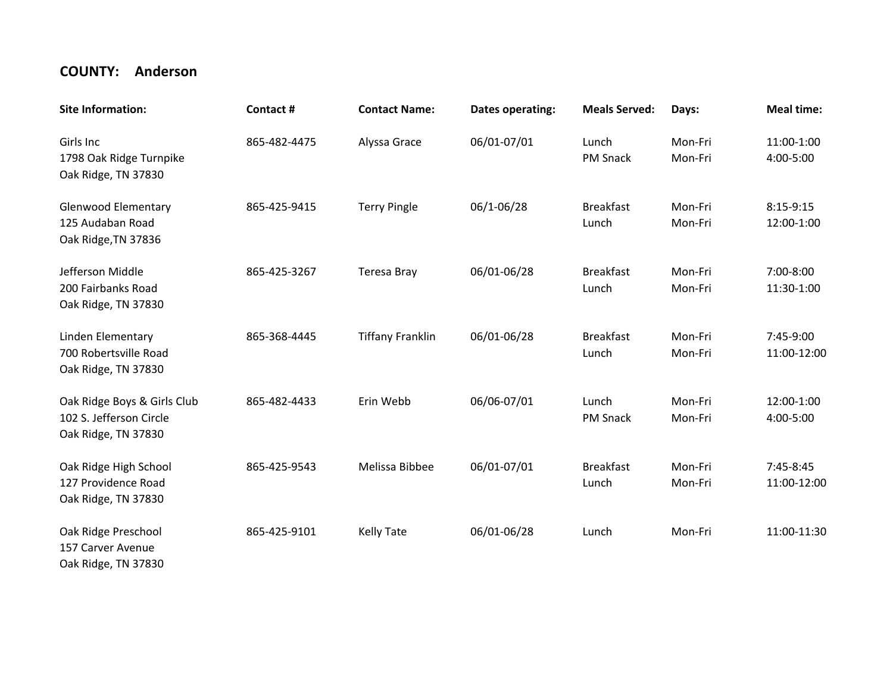## **COUNTY: Anderson**

| <b>Site Information:</b>                                                      | Contact#     | <b>Contact Name:</b>    | Dates operating: | <b>Meals Served:</b>      | Days:              | <b>Meal time:</b>        |
|-------------------------------------------------------------------------------|--------------|-------------------------|------------------|---------------------------|--------------------|--------------------------|
| Girls Inc<br>1798 Oak Ridge Turnpike<br>Oak Ridge, TN 37830                   | 865-482-4475 | Alyssa Grace            | 06/01-07/01      | Lunch<br>PM Snack         | Mon-Fri<br>Mon-Fri | 11:00-1:00<br>4:00-5:00  |
| <b>Glenwood Elementary</b><br>125 Audaban Road<br>Oak Ridge, TN 37836         | 865-425-9415 | <b>Terry Pingle</b>     | 06/1-06/28       | <b>Breakfast</b><br>Lunch | Mon-Fri<br>Mon-Fri | 8:15-9:15<br>12:00-1:00  |
| Jefferson Middle<br>200 Fairbanks Road<br>Oak Ridge, TN 37830                 | 865-425-3267 | <b>Teresa Bray</b>      | 06/01-06/28      | <b>Breakfast</b><br>Lunch | Mon-Fri<br>Mon-Fri | 7:00-8:00<br>11:30-1:00  |
| Linden Elementary<br>700 Robertsville Road<br>Oak Ridge, TN 37830             | 865-368-4445 | <b>Tiffany Franklin</b> | 06/01-06/28      | <b>Breakfast</b><br>Lunch | Mon-Fri<br>Mon-Fri | 7:45-9:00<br>11:00-12:00 |
| Oak Ridge Boys & Girls Club<br>102 S. Jefferson Circle<br>Oak Ridge, TN 37830 | 865-482-4433 | Erin Webb               | 06/06-07/01      | Lunch<br>PM Snack         | Mon-Fri<br>Mon-Fri | 12:00-1:00<br>4:00-5:00  |
| Oak Ridge High School<br>127 Providence Road<br>Oak Ridge, TN 37830           | 865-425-9543 | Melissa Bibbee          | 06/01-07/01      | <b>Breakfast</b><br>Lunch | Mon-Fri<br>Mon-Fri | 7:45-8:45<br>11:00-12:00 |
| Oak Ridge Preschool<br>157 Carver Avenue<br>Oak Ridge, TN 37830               | 865-425-9101 | <b>Kelly Tate</b>       | 06/01-06/28      | Lunch                     | Mon-Fri            | 11:00-11:30              |